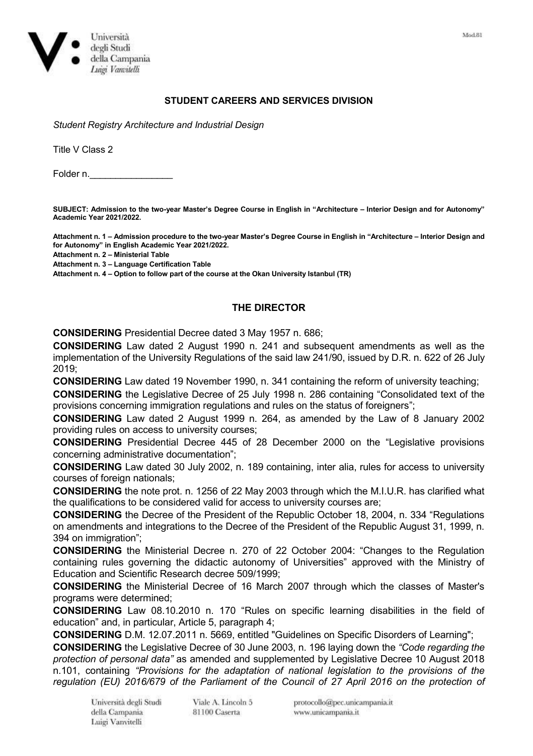

## **STUDENT CAREERS AND SERVICES DIVISION**

*Student Registry Architecture and Industrial Design*

Title V Class 2

Folder n.

**SUBJECT: Admission to the two-year Master's Degree Course in English in "Architecture – Interior Design and for Autonomy" Academic Year 2021/2022.**

**Attachment n. 1 – Admission procedure to the two-year Master's Degree Course in English in "Architecture – Interior Design and for Autonomy" in English Academic Year 2021/2022.**

**Attachment n. 2 – Ministerial Table**

**Attachment n. 3 – Language Certification Table**

**Attachment n. 4 – Option to follow part of the course at the Okan University Istanbul (TR)** 

## **THE DIRECTOR**

**CONSIDERING** Presidential Decree dated 3 May 1957 n. 686;

**CONSIDERING** Law dated 2 August 1990 n. 241 and subsequent amendments as well as the implementation of the University Regulations of the said law 241/90, issued by D.R. n. 622 of 26 July 2019;

**CONSIDERING** Law dated 19 November 1990, n. 341 containing the reform of university teaching;

**CONSIDERING** the Legislative Decree of 25 July 1998 n. 286 containing "Consolidated text of the provisions concerning immigration regulations and rules on the status of foreigners";

**CONSIDERING** Law dated 2 August 1999 n. 264, as amended by the Law of 8 January 2002 providing rules on access to university courses;

**CONSIDERING** Presidential Decree 445 of 28 December 2000 on the "Legislative provisions concerning administrative documentation";

**CONSIDERING** Law dated 30 July 2002, n. 189 containing, inter alia, rules for access to university courses of foreign nationals;

**CONSIDERING** the note prot. n. 1256 of 22 May 2003 through which the M.I.U.R. has clarified what the qualifications to be considered valid for access to university courses are;

**CONSIDERING** the Decree of the President of the Republic October 18, 2004, n. 334 "Regulations on amendments and integrations to the Decree of the President of the Republic August 31, 1999, n. 394 on immigration";

**CONSIDERING** the Ministerial Decree n. 270 of 22 October 2004: "Changes to the Regulation containing rules governing the didactic autonomy of Universities" approved with the Ministry of Education and Scientific Research decree 509/1999;

**CONSIDERING** the Ministerial Decree of 16 March 2007 through which the classes of Master's programs were determined;

**CONSIDERING** Law 08.10.2010 n. 170 "Rules on specific learning disabilities in the field of education" and, in particular, Article 5, paragraph 4;

**CONSIDERING** D.M. 12.07.2011 n. 5669, entitled "Guidelines on Specific Disorders of Learning";

**CONSIDERING** the Legislative Decree of 30 June 2003, n. 196 laying down the *"Code regarding the protection of personal data"* as amended and supplemented by Legislative Decree 10 August 2018 n.101, containing *"Provisions for the adaptation of national legislation to the provisions of the regulation (EU) 2016/679 of the Parliament of the Council of 27 April 2016 on the protection of*